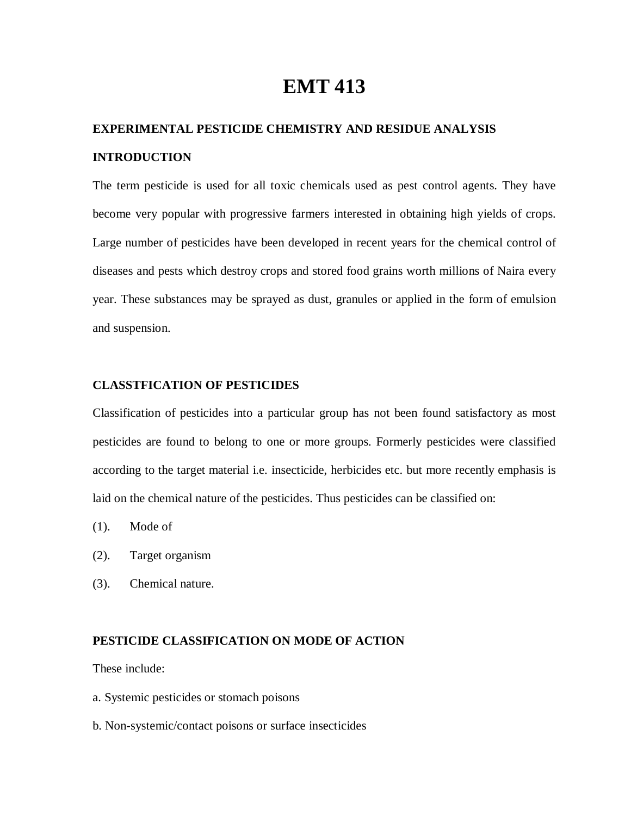# **EMT 413**

# **EXPERIMENTAL PESTICIDE CHEMISTRY AND RESIDUE ANALYSIS INTRODUCTION**

The term pesticide is used for all toxic chemicals used as pest control agents. They have become very popular with progressive farmers interested in obtaining high yields of crops. Large number of pesticides have been developed in recent years for the chemical control of diseases and pests which destroy crops and stored food grains worth millions of Naira every year. These substances may be sprayed as dust, granules or applied in the form of emulsion and suspension.

# **CLASSTFICATION OF PESTICIDES**

Classification of pesticides into a particular group has not been found satisfactory as most pesticides are found to belong to one or more groups. Formerly pesticides were classified according to the target material i.e. insecticide, herbicides etc. but more recently emphasis is laid on the chemical nature of the pesticides. Thus pesticides can be classified on:

- (1). Mode of
- (2). Target organism
- (3). Chemical nature.

# **PESTICIDE CLASSIFICATION ON MODE OF ACTION**

These include:

- a. Systemic pesticides or stomach poisons
- b. Non-systemic/contact poisons or surface insecticides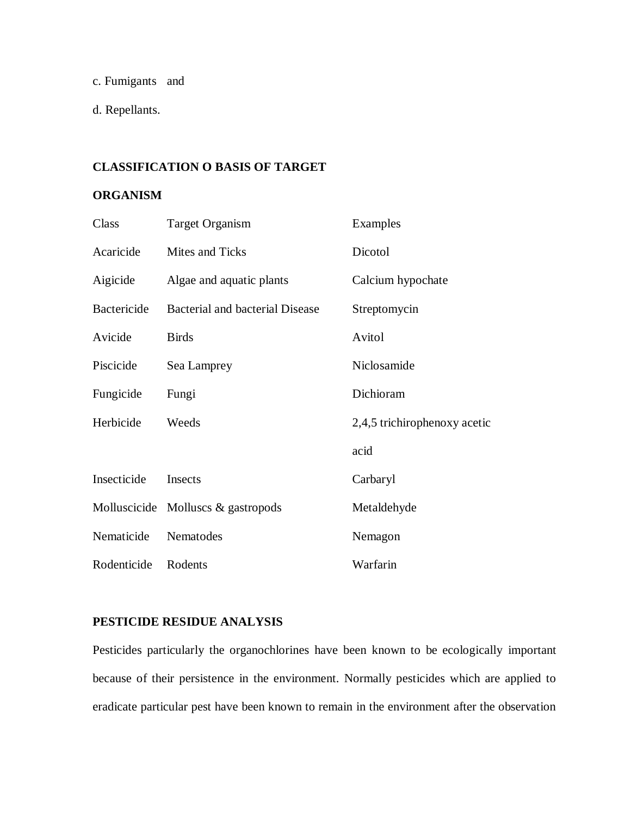c. Fumigants and

d. Repellants.

# **CLASSIFICATION O BASIS OF TARGET**

# **ORGANISM**

| Class       | Target Organism                    | Examples                     |
|-------------|------------------------------------|------------------------------|
| Acaricide   | Mites and Ticks                    | Dicotol                      |
| Aigicide    | Algae and aquatic plants           | Calcium hypochate            |
| Bactericide | Bacterial and bacterial Disease    | Streptomycin                 |
| Avicide     | <b>Birds</b>                       | Avitol                       |
| Piscicide   | Sea Lamprey                        | Niclosamide                  |
| Fungicide   | Fungi                              | Dichioram                    |
| Herbicide   | Weeds                              | 2,4,5 trichirophenoxy acetic |
|             |                                    | acid                         |
| Insecticide | Insects                            | Carbaryl                     |
|             | Molluscicide Molluscs & gastropods | Metaldehyde                  |
| Nematicide  | Nematodes                          | Nemagon                      |
| Rodenticide | Rodents                            | Warfarin                     |

# **PESTICIDE RESIDUE ANALYSIS**

Pesticides particularly the organochlorines have been known to be ecologically important because of their persistence in the environment. Normally pesticides which are applied to eradicate particular pest have been known to remain in the environment after the observation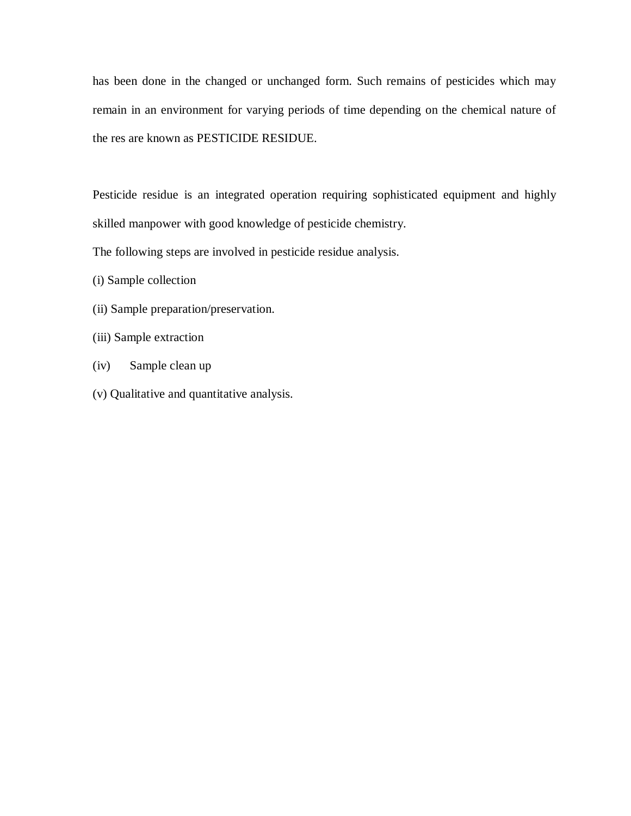has been done in the changed or unchanged form. Such remains of pesticides which may remain in an environment for varying periods of time depending on the chemical nature of the res are known as PESTICIDE RESIDUE.

Pesticide residue is an integrated operation requiring sophisticated equipment and highly skilled manpower with good knowledge of pesticide chemistry.

The following steps are involved in pesticide residue analysis.

- (i) Sample collection
- (ii) Sample preparation/preservation.
- (iii) Sample extraction
- (iv) Sample clean up
- (v) Qualitative and quantitative analysis.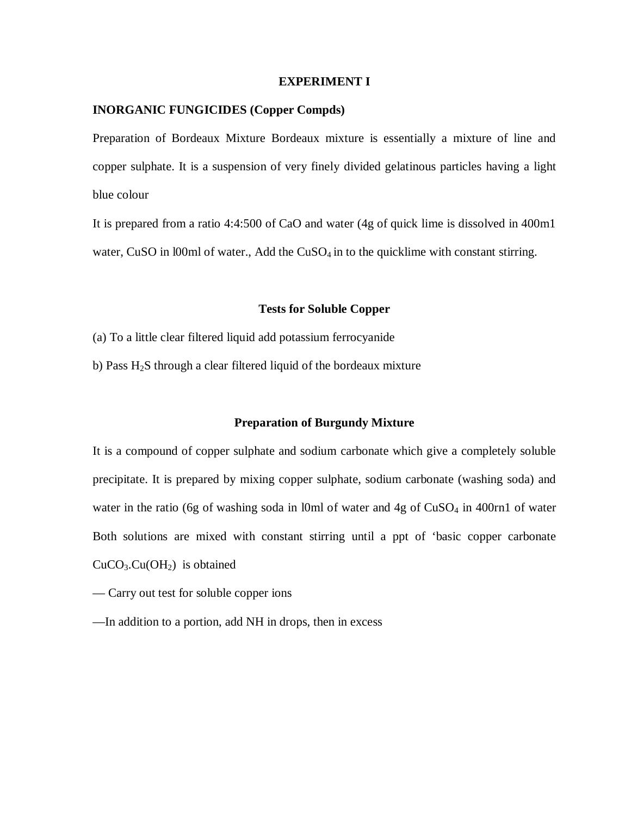#### **EXPERIMENT I**

# **INORGANIC FUNGICIDES (Copper Compds)**

Preparation of Bordeaux Mixture Bordeaux mixture is essentially a mixture of line and copper sulphate. It is a suspension of very finely divided gelatinous particles having a light blue colour

It is prepared from a ratio 4:4:500 of CaO and water (4g of quick lime is dissolved in 400m1 water, CuSO in  $100$ ml of water., Add the CuSO<sub>4</sub> in to the quicklime with constant stirring.

# **Tests for Soluble Copper**

- (a) To a little clear filtered liquid add potassium ferrocyanide
- b) Pass  $H_2S$  through a clear filtered liquid of the bordeaux mixture

#### **Preparation of Burgundy Mixture**

It is a compound of copper sulphate and sodium carbonate which give a completely soluble precipitate. It is prepared by mixing copper sulphate, sodium carbonate (washing soda) and water in the ratio (6g of washing soda in l0ml of water and  $4g$  of  $CuSO<sub>4</sub>$  in 400rn1 of water Both solutions are mixed with constant stirring until a ppt of 'basic copper carbonate  $CuCO<sub>3</sub>.Cu(OH<sub>2</sub>)$  is obtained

- Carry out test for soluble copper ions
- —In addition to a portion, add NH in drops, then in excess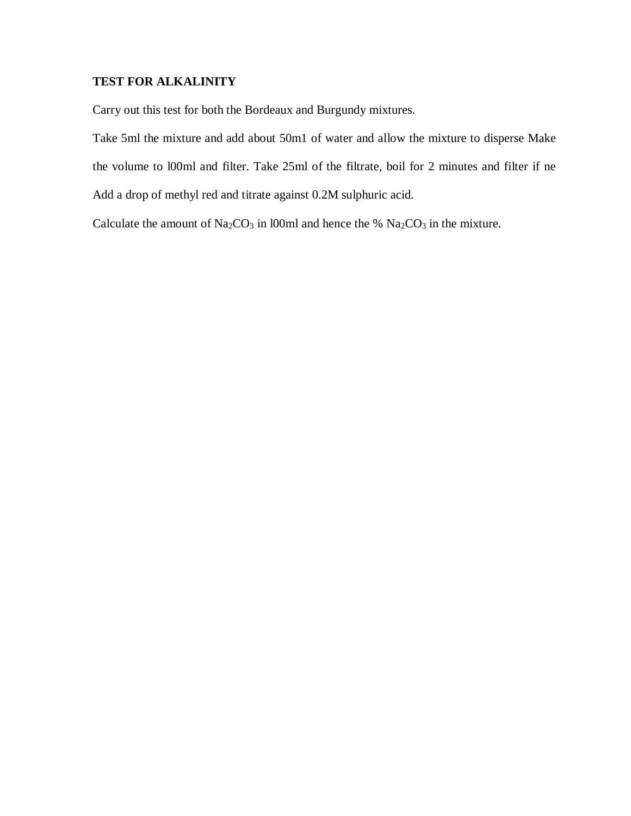# **TEST FOR ALKALINITY**

Carry out this test for both the Bordeaux and Burgundy mixtures.

Take 5ml the mixture and add about 50m1 of water and allow the mixture to disperse Make the volume to l00ml and filter. Take 25ml of the filtrate, boil for 2 minutes and filter if ne Add a drop of methyl red and titrate against 0.2M sulphuric acid.

Calculate the amount of  $Na_2CO_3$  in l00ml and hence the %  $Na_2CO_3$  in the mixture.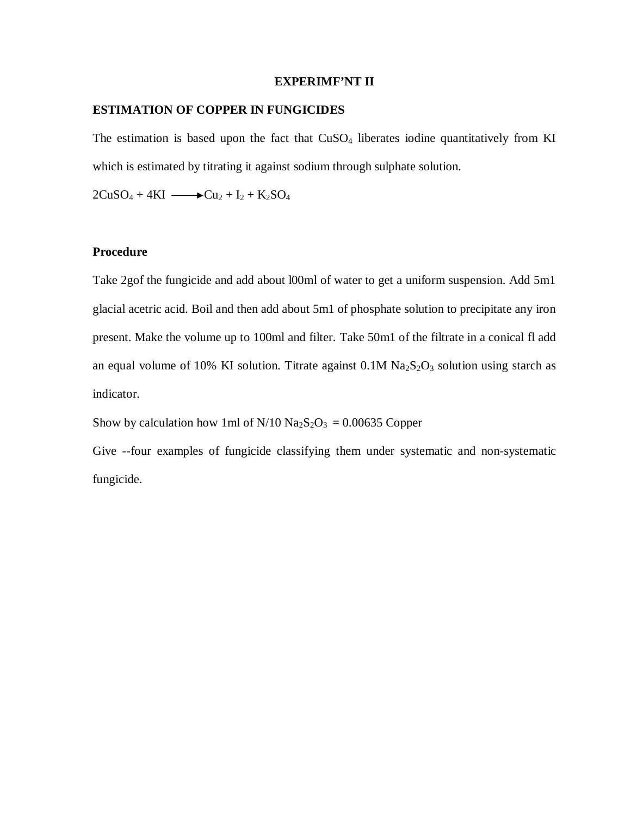#### **EXPERIMF'NT II**

# **ESTIMATION OF COPPER IN FUNGICIDES**

The estimation is based upon the fact that  $CuSO<sub>4</sub>$  liberates iodine quantitatively from KI which is estimated by titrating it against sodium through sulphate solution.

 $2CuSO_4 + 4KI \longrightarrow Cu_2 + I_2 + K_2SO_4$ 

# **Procedure**

Take 2gof the fungicide and add about l00ml of water to get a uniform suspension. Add 5m1 glacial acetric acid. Boil and then add about 5m1 of phosphate solution to precipitate any iron present. Make the volume up to 100ml and filter. Take 50m1 of the filtrate in a conical fl add an equal volume of 10% KI solution. Titrate against  $0.1M$   $Na<sub>2</sub>S<sub>2</sub>O<sub>3</sub>$  solution using starch as indicator.

Show by calculation how 1ml of  $N/10$   $Na<sub>2</sub>S<sub>2</sub>O<sub>3</sub> = 0.00635$  Copper

Give --four examples of fungicide classifying them under systematic and non-systematic fungicide.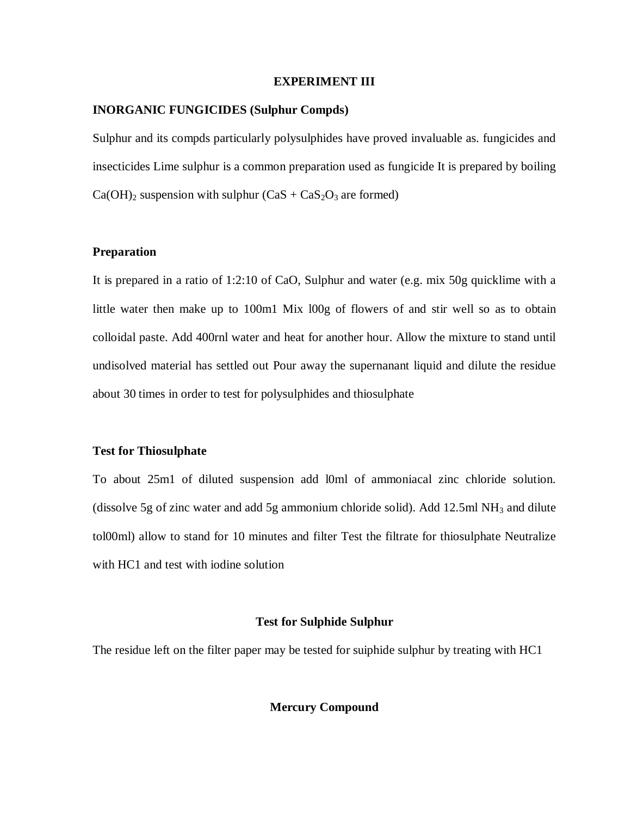#### **EXPERIMENT III**

# **INORGANIC FUNGICIDES (Sulphur Compds)**

Sulphur and its compds particularly polysulphides have proved invaluable as. fungicides and insecticides Lime sulphur is a common preparation used as fungicide It is prepared by boiling  $Ca(OH)_2$  suspension with sulphur  $(CaS + CaS_2O_3$  are formed)

# **Preparation**

It is prepared in a ratio of 1:2:10 of CaO, Sulphur and water (e.g. mix 50g quicklime with a little water then make up to 100m1 Mix l00g of flowers of and stir well so as to obtain colloidal paste. Add 400rnl water and heat for another hour. Allow the mixture to stand until undisolved material has settled out Pour away the supernanant liquid and dilute the residue about 30 times in order to test for polysulphides and thiosulphate

# **Test for Thiosulphate**

To about 25m1 of diluted suspension add l0ml of ammoniacal zinc chloride solution. (dissolve 5g of zinc water and add 5g ammonium chloride solid). Add 12.5ml  $NH_3$  and dilute tol00ml) allow to stand for 10 minutes and filter Test the filtrate for thiosulphate Neutralize with HC1 and test with iodine solution

#### **Test for Sulphide Sulphur**

The residue left on the filter paper may be tested for suiphide sulphur by treating with HC1

#### **Mercury Compound**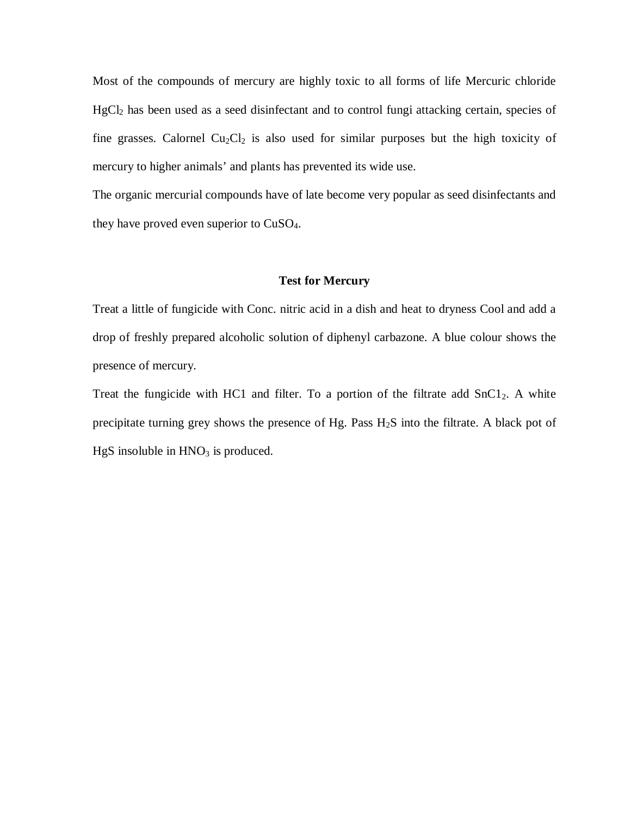Most of the compounds of mercury are highly toxic to all forms of life Mercuric chloride HgCl<sub>2</sub> has been used as a seed disinfectant and to control fungi attacking certain, species of fine grasses. Calornel  $Cu<sub>2</sub>Cl<sub>2</sub>$  is also used for similar purposes but the high toxicity of mercury to higher animals' and plants has prevented its wide use.

The organic mercurial compounds have of late become very popular as seed disinfectants and they have proved even superior to CuSO4.

#### **Test for Mercury**

Treat a little of fungicide with Conc. nitric acid in a dish and heat to dryness Cool and add a drop of freshly prepared alcoholic solution of diphenyl carbazone. A blue colour shows the presence of mercury.

Treat the fungicide with HC1 and filter. To a portion of the filtrate add  $SnC1<sub>2</sub>$ . A white precipitate turning grey shows the presence of Hg. Pass  $H_2S$  into the filtrate. A black pot of  $HgS$  insoluble in  $HNO<sub>3</sub>$  is produced.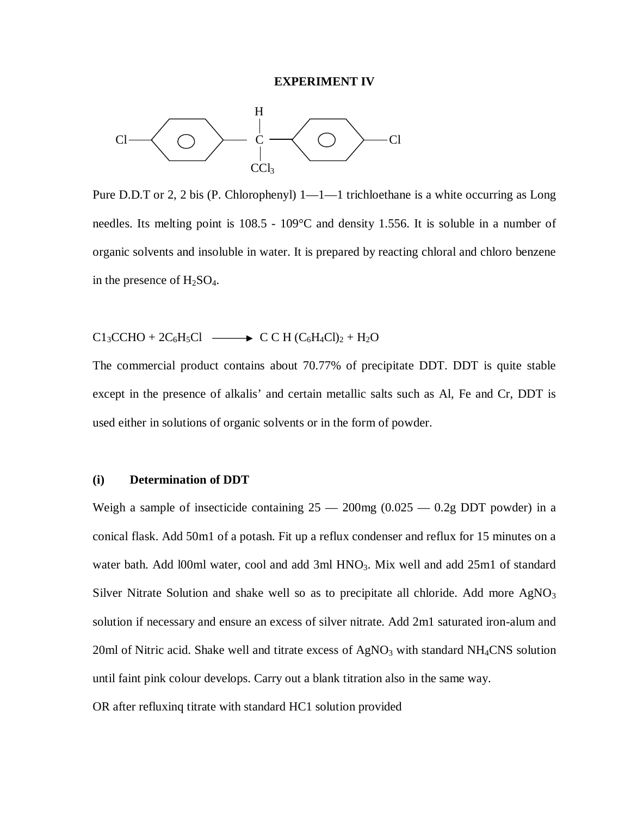#### **EXPERIMENT IV**



Pure D.D.T or 2, 2 bis (P. Chlorophenyl)  $1-1-1$  trichloethane is a white occurring as Long needles. Its melting point is 108.5 - 109°C and density 1.556. It is soluble in a number of organic solvents and insoluble in water. It is prepared by reacting chloral and chloro benzene in the presence of  $H_2SO_4$ .

 $C1<sub>3</sub>CCHO + 2C<sub>6</sub>H<sub>5</sub>Cl \longrightarrow CC H (C<sub>6</sub>H<sub>4</sub>Cl)<sub>2</sub> + H<sub>2</sub>O$ 

The commercial product contains about 70.77% of precipitate DDT. DDT is quite stable except in the presence of alkalis' and certain metallic salts such as Al, Fe and Cr, DDT is used either in solutions of organic solvents or in the form of powder.

#### **(i) Determination of DDT**

Weigh a sample of insecticide containing  $25 - 200$  mg  $(0.025 - 0.2$  g DDT powder) in a conical flask. Add 50m1 of a potash. Fit up a reflux condenser and reflux for 15 minutes on a water bath. Add l00ml water, cool and add 3ml HNO<sub>3</sub>. Mix well and add 25ml of standard Silver Nitrate Solution and shake well so as to precipitate all chloride. Add more  $AgNO<sub>3</sub>$ solution if necessary and ensure an excess of silver nitrate. Add 2m1 saturated iron-alum and 20ml of Nitric acid. Shake well and titrate excess of  $AgNO<sub>3</sub>$  with standard NH<sub>4</sub>CNS solution until faint pink colour develops. Carry out a blank titration also in the same way.

OR after refluxinq titrate with standard HC1 solution provided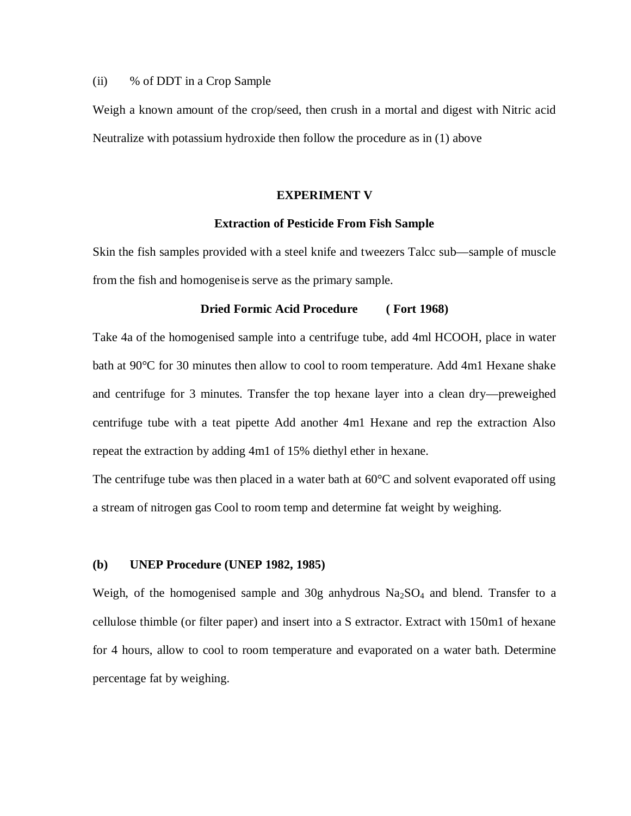# (ii) % of DDT in a Crop Sample

Weigh a known amount of the crop/seed, then crush in a mortal and digest with Nitric acid Neutralize with potassium hydroxide then follow the procedure as in (1) above

#### **EXPERIMENT V**

#### **Extraction of Pesticide From Fish Sample**

Skin the fish samples provided with a steel knife and tweezers Talcc sub—sample of muscle from the fish and homogeniseis serve as the primary sample.

# **Dried Formic Acid Procedure ( Fort 1968)**

Take 4a of the homogenised sample into a centrifuge tube, add 4ml HCOOH, place in water bath at 90°C for 30 minutes then allow to cool to room temperature. Add 4m1 Hexane shake and centrifuge for 3 minutes. Transfer the top hexane layer into a clean dry—preweighed centrifuge tube with a teat pipette Add another 4m1 Hexane and rep the extraction Also repeat the extraction by adding 4m1 of 15% diethyl ether in hexane.

The centrifuge tube was then placed in a water bath at  $60^{\circ}$ C and solvent evaporated off using a stream of nitrogen gas Cool to room temp and determine fat weight by weighing.

#### **(b) UNEP Procedure (UNEP 1982, 1985)**

Weigh, of the homogenised sample and 30g anhydrous Na<sub>2</sub>SO<sub>4</sub> and blend. Transfer to a cellulose thimble (or filter paper) and insert into a S extractor. Extract with 150m1 of hexane for 4 hours, allow to cool to room temperature and evaporated on a water bath. Determine percentage fat by weighing.